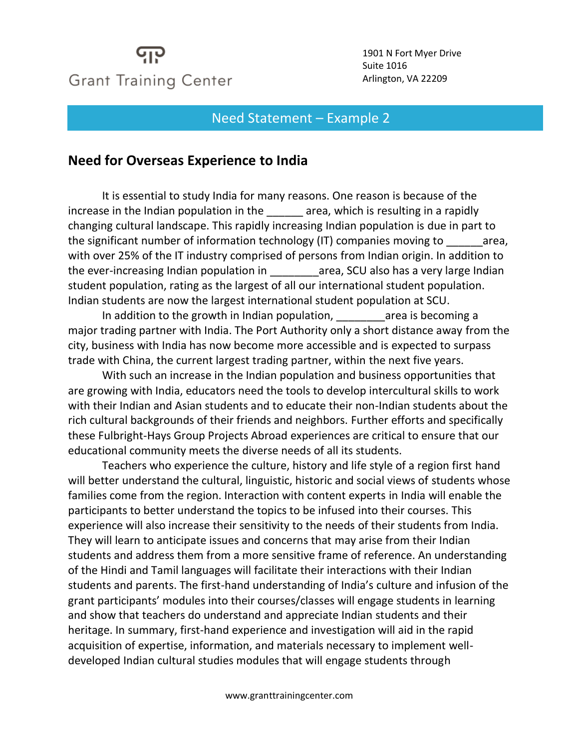## **Grant Training Center**

1901 N Fort Myer Drive Suite 1016 Arlington, VA 22209

## Need Statement – Example 2

## **Need for Overseas Experience to India**

It is essential to study India for many reasons. One reason is because of the increase in the Indian population in the area, which is resulting in a rapidly changing cultural landscape. This rapidly increasing Indian population is due in part to the significant number of information technology (IT) companies moving to area, with over 25% of the IT industry comprised of persons from Indian origin. In addition to the ever-increasing Indian population in \_\_\_\_\_\_\_\_area, SCU also has a very large Indian student population, rating as the largest of all our international student population. Indian students are now the largest international student population at SCU.

In addition to the growth in Indian population, The area is becoming a major trading partner with India. The Port Authority only a short distance away from the city, business with India has now become more accessible and is expected to surpass trade with China, the current largest trading partner, within the next five years.

With such an increase in the Indian population and business opportunities that are growing with India, educators need the tools to develop intercultural skills to work with their Indian and Asian students and to educate their non-Indian students about the rich cultural backgrounds of their friends and neighbors. Further efforts and specifically these Fulbright-Hays Group Projects Abroad experiences are critical to ensure that our educational community meets the diverse needs of all its students.

Teachers who experience the culture, history and life style of a region first hand will better understand the cultural, linguistic, historic and social views of students whose families come from the region. Interaction with content experts in India will enable the participants to better understand the topics to be infused into their courses. This experience will also increase their sensitivity to the needs of their students from India. They will learn to anticipate issues and concerns that may arise from their Indian students and address them from a more sensitive frame of reference. An understanding of the Hindi and Tamil languages will facilitate their interactions with their Indian students and parents. The first-hand understanding of India's culture and infusion of the grant participants' modules into their courses/classes will engage students in learning and show that teachers do understand and appreciate Indian students and their heritage. In summary, first-hand experience and investigation will aid in the rapid acquisition of expertise, information, and materials necessary to implement welldeveloped Indian cultural studies modules that will engage students through